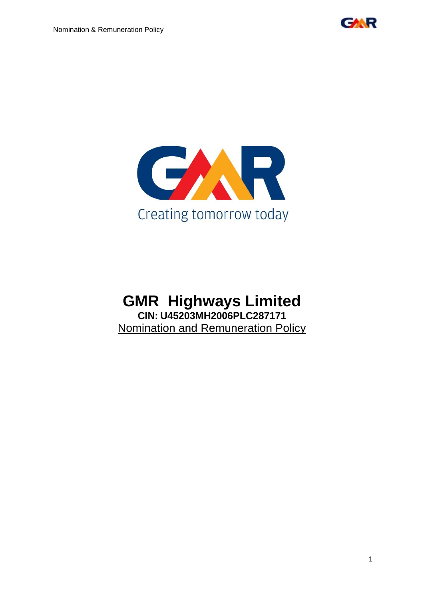



# **GMR Highways Limited CIN: U45203MH2006PLC287171** Nomination and Remuneration Policy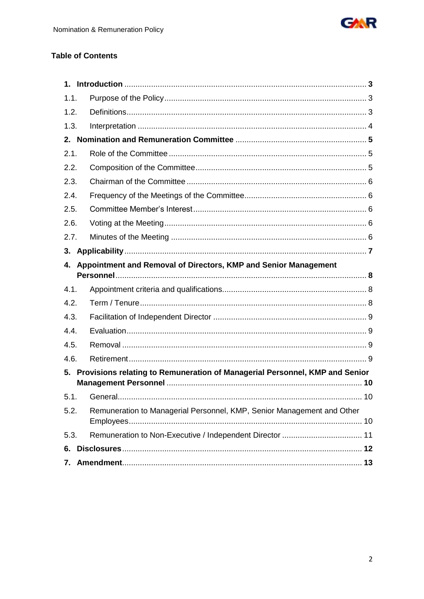

# **Table of Contents**

| 1.1. |                                                                             |    |
|------|-----------------------------------------------------------------------------|----|
| 1.2. |                                                                             |    |
| 1.3. |                                                                             |    |
|      |                                                                             |    |
| 2.1. |                                                                             |    |
| 2.2. |                                                                             |    |
| 2.3. |                                                                             |    |
| 2.4. |                                                                             |    |
| 2.5. |                                                                             |    |
| 2.6. |                                                                             |    |
| 2.7. |                                                                             |    |
| 3.   |                                                                             |    |
| 4.   | Appointment and Removal of Directors, KMP and Senior Management             |    |
| 4.1. |                                                                             |    |
| 4.2. |                                                                             |    |
| 4.3. |                                                                             |    |
| 4.4. |                                                                             |    |
| 4.5. |                                                                             |    |
| 4.6. |                                                                             |    |
| 5.   | Provisions relating to Remuneration of Managerial Personnel, KMP and Senior |    |
|      |                                                                             | 10 |
| 5.2. | Remuneration to Managerial Personnel, KMP, Senior Management and Other      |    |
| 5.3. |                                                                             |    |
| 6.   |                                                                             |    |
| 7.   |                                                                             |    |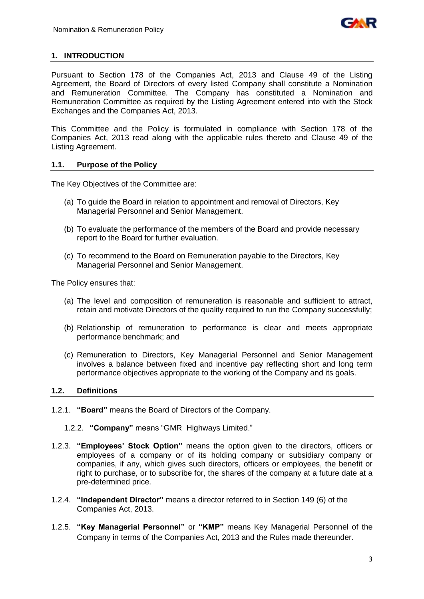

# **1. INTRODUCTION**

Pursuant to Section 178 of the Companies Act, 2013 and Clause 49 of the Listing Agreement, the Board of Directors of every listed Company shall constitute a Nomination and Remuneration Committee. The Company has constituted a Nomination and Remuneration Committee as required by the Listing Agreement entered into with the Stock Exchanges and the Companies Act, 2013.

This Committee and the Policy is formulated in compliance with Section 178 of the Companies Act, 2013 read along with the applicable rules thereto and Clause 49 of the Listing Agreement.

# **1.1. Purpose of the Policy**

The Key Objectives of the Committee are:

- (a) To guide the Board in relation to appointment and removal of Directors, Key Managerial Personnel and Senior Management.
- (b) To evaluate the performance of the members of the Board and provide necessary report to the Board for further evaluation.
- (c) To recommend to the Board on Remuneration payable to the Directors, Key Managerial Personnel and Senior Management.

The Policy ensures that:

- (a) The level and composition of remuneration is reasonable and sufficient to attract, retain and motivate Directors of the quality required to run the Company successfully;
- (b) Relationship of remuneration to performance is clear and meets appropriate performance benchmark; and
- (c) Remuneration to Directors, Key Managerial Personnel and Senior Management involves a balance between fixed and incentive pay reflecting short and long term performance objectives appropriate to the working of the Company and its goals.

# **1.2. Definitions**

- 1.2.1. **"Board"** means the Board of Directors of the Company.
	- 1.2.2. **"Company"** means "GMR Highways Limited."
- 1.2.3. **"Employees' Stock Option"** means the option given to the directors, officers or employees of a company or of its holding company or subsidiary company or companies, if any, which gives such directors, officers or employees, the benefit or right to purchase, or to subscribe for, the shares of the company at a future date at a pre-determined price.
- 1.2.4. **"Independent Director"** means a director referred to in Section 149 (6) of the Companies Act, 2013.
- 1.2.5. **"Key Managerial Personnel"** or **"KMP"** means Key Managerial Personnel of the Company in terms of the Companies Act, 2013 and the Rules made thereunder.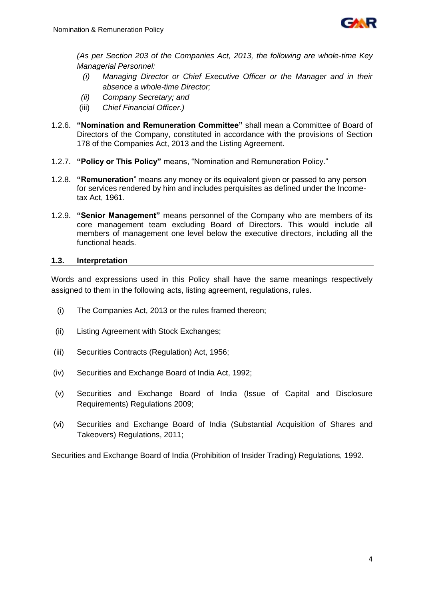

*(As per Section 203 of the Companies Act, 2013, the following are whole-time Key Managerial Personnel:*

- *(i) Managing Director or Chief Executive Officer or the Manager and in their absence a whole-time Director;*
- *(ii) Company Secretary; and*
- (iii) *Chief Financial Officer.)*
- 1.2.6. **"Nomination and Remuneration Committee"** shall mean a Committee of Board of Directors of the Company, constituted in accordance with the provisions of Section 178 of the Companies Act, 2013 and the Listing Agreement.
- 1.2.7. **"Policy or This Policy"** means, "Nomination and Remuneration Policy."
- 1.2.8. **"Remuneration**" means any money or its equivalent given or passed to any person for services rendered by him and includes perquisites as defined under the Incometax Act, 1961.
- 1.2.9. **"Senior Management"** means personnel of the Company who are members of its core management team excluding Board of Directors. This would include all members of management one level below the executive directors, including all the functional heads.

# **1.3. Interpretation**

Words and expressions used in this Policy shall have the same meanings respectively assigned to them in the following acts, listing agreement, regulations, rules.

- (i) The Companies Act, 2013 or the rules framed thereon;
- (ii) Listing Agreement with Stock Exchanges;
- (iii) Securities Contracts (Regulation) Act, 1956;
- (iv) Securities and Exchange Board of India Act, 1992;
- (v) Securities and Exchange Board of India (Issue of Capital and Disclosure Requirements) Regulations 2009;
- (vi) Securities and Exchange Board of India (Substantial Acquisition of Shares and Takeovers) Regulations, 2011;

Securities and Exchange Board of India (Prohibition of Insider Trading) Regulations, 1992.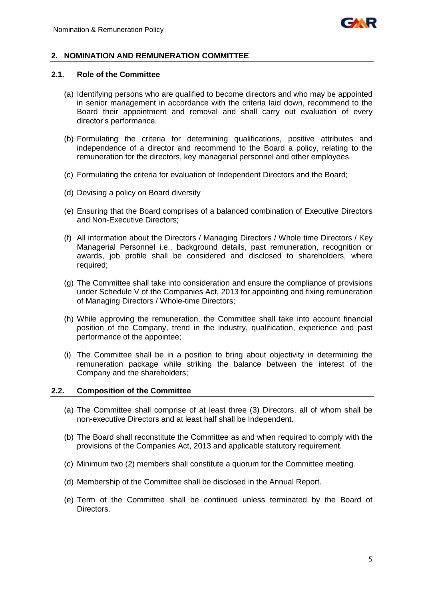

# **2. NOMINATION AND REMUNERATION COMMITTEE**

#### **2.1. Role of the Committee**

- (a) Identifying persons who are qualified to become directors and who may be appointed in senior management in accordance with the criteria laid down, recommend to the Board their appointment and removal and shall carry out evaluation of every director's performance.
- (b) Formulating the criteria for determining qualifications, positive attributes and independence of a director and recommend to the Board a policy, relating to the remuneration for the directors, key managerial personnel and other employees.
- (c) Formulating the criteria for evaluation of Independent Directors and the Board;
- (d) Devising a policy on Board diversity
- (e) Ensuring that the Board comprises of a balanced combination of Executive Directors and Non-Executive Directors;
- (f) All information about the Directors / Managing Directors / Whole time Directors / Key Managerial Personnel i.e., background details, past remuneration, recognition or awards, job profile shall be considered and disclosed to shareholders, where required;
- (g) The Committee shall take into consideration and ensure the compliance of provisions under Schedule V of the Companies Act, 2013 for appointing and fixing remuneration of Managing Directors / Whole-time Directors;
- (h) While approving the remuneration, the Committee shall take into account financial position of the Company, trend in the industry, qualification, experience and past performance of the appointee;
- (i) The Committee shall be in a position to bring about objectivity in determining the remuneration package while striking the balance between the interest of the Company and the shareholders;

#### **2.2. Composition of the Committee**

- (a) The Committee shall comprise of at least three (3) Directors, all of whom shall be non-executive Directors and at least half shall be Independent.
- (b) The Board shall reconstitute the Committee as and when required to comply with the provisions of the Companies Act, 2013 and applicable statutory requirement.
- (c) Minimum two (2) members shall constitute a quorum for the Committee meeting.
- (d) Membership of the Committee shall be disclosed in the Annual Report.
- (e) Term of the Committee shall be continued unless terminated by the Board of Directors.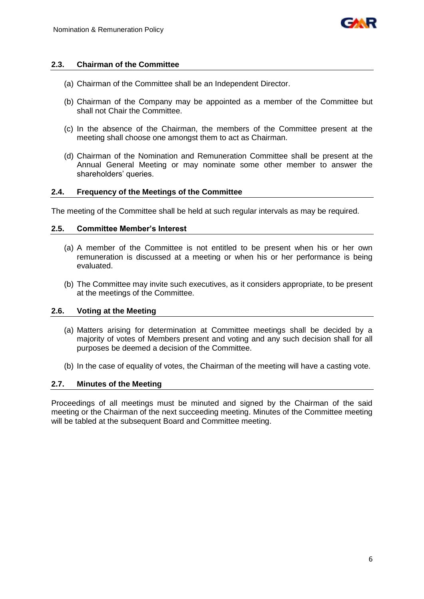

## **2.3. Chairman of the Committee**

- (a) Chairman of the Committee shall be an Independent Director.
- (b) Chairman of the Company may be appointed as a member of the Committee but shall not Chair the Committee.
- (c) In the absence of the Chairman, the members of the Committee present at the meeting shall choose one amongst them to act as Chairman.
- (d) Chairman of the Nomination and Remuneration Committee shall be present at the Annual General Meeting or may nominate some other member to answer the shareholders' queries.

## **2.4. Frequency of the Meetings of the Committee**

The meeting of the Committee shall be held at such regular intervals as may be required.

#### **2.5. Committee Member's Interest**

- (a) A member of the Committee is not entitled to be present when his or her own remuneration is discussed at a meeting or when his or her performance is being evaluated.
- (b) The Committee may invite such executives, as it considers appropriate, to be present at the meetings of the Committee.

#### **2.6. Voting at the Meeting**

- (a) Matters arising for determination at Committee meetings shall be decided by a majority of votes of Members present and voting and any such decision shall for all purposes be deemed a decision of the Committee.
- (b) In the case of equality of votes, the Chairman of the meeting will have a casting vote.

#### **2.7. Minutes of the Meeting**

Proceedings of all meetings must be minuted and signed by the Chairman of the said meeting or the Chairman of the next succeeding meeting. Minutes of the Committee meeting will be tabled at the subsequent Board and Committee meeting.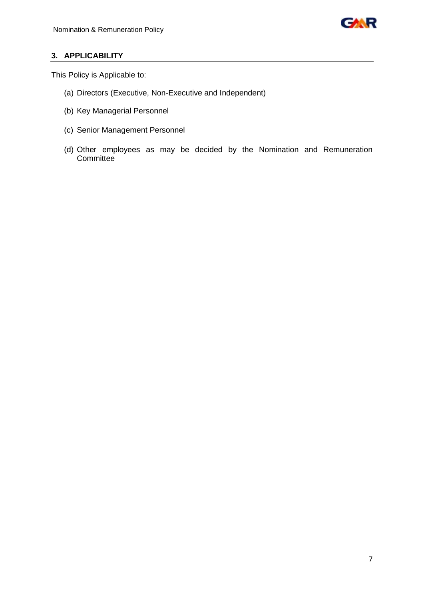

# **3. APPLICABILITY**

This Policy is Applicable to:

- (a) Directors (Executive, Non-Executive and Independent)
- (b) Key Managerial Personnel
- (c) Senior Management Personnel
- (d) Other employees as may be decided by the Nomination and Remuneration **Committee**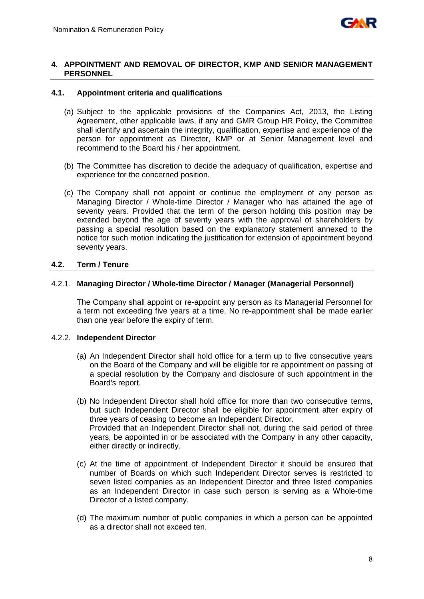

#### **4. APPOINTMENT AND REMOVAL OF DIRECTOR, KMP AND SENIOR MANAGEMENT PERSONNEL**

## **4.1. Appointment criteria and qualifications**

- (a) Subject to the applicable provisions of the Companies Act, 2013, the Listing Agreement, other applicable laws, if any and GMR Group HR Policy, the Committee shall identify and ascertain the integrity, qualification, expertise and experience of the person for appointment as Director, KMP or at Senior Management level and recommend to the Board his / her appointment.
- (b) The Committee has discretion to decide the adequacy of qualification, expertise and experience for the concerned position.
- (c) The Company shall not appoint or continue the employment of any person as Managing Director / Whole-time Director / Manager who has attained the age of seventy years. Provided that the term of the person holding this position may be extended beyond the age of seventy years with the approval of shareholders by passing a special resolution based on the explanatory statement annexed to the notice for such motion indicating the justification for extension of appointment beyond seventy years.

#### **4.2. Term / Tenure**

#### 4.2.1. **Managing Director / Whole-time Director / Manager (Managerial Personnel)**

The Company shall appoint or re-appoint any person as its Managerial Personnel for a term not exceeding five years at a time. No re-appointment shall be made earlier than one year before the expiry of term.

# 4.2.2. **Independent Director**

- (a) An Independent Director shall hold office for a term up to five consecutive years on the Board of the Company and will be eligible for re appointment on passing of a special resolution by the Company and disclosure of such appointment in the Board's report.
- (b) No Independent Director shall hold office for more than two consecutive terms, but such Independent Director shall be eligible for appointment after expiry of three years of ceasing to become an Independent Director. Provided that an Independent Director shall not, during the said period of three years, be appointed in or be associated with the Company in any other capacity, either directly or indirectly.
- (c) At the time of appointment of Independent Director it should be ensured that number of Boards on which such Independent Director serves is restricted to seven listed companies as an Independent Director and three listed companies as an Independent Director in case such person is serving as a Whole-time Director of a listed company.
- (d) The maximum number of public companies in which a person can be appointed as a director shall not exceed ten.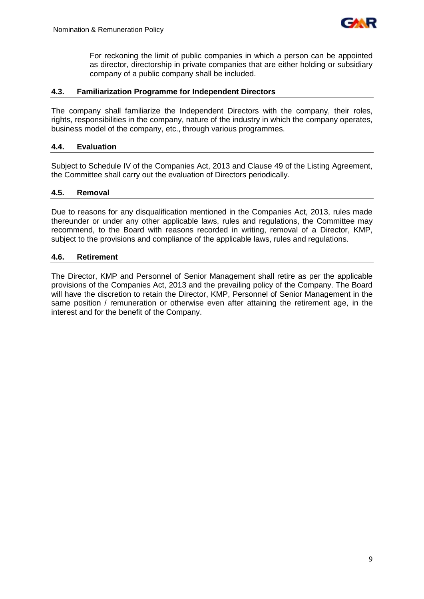

For reckoning the limit of public companies in which a person can be appointed as director, directorship in private companies that are either holding or subsidiary company of a public company shall be included.

## **4.3. Familiarization Programme for Independent Directors**

The company shall familiarize the Independent Directors with the company, their roles, rights, responsibilities in the company, nature of the industry in which the company operates, business model of the company, etc., through various programmes.

#### **4.4. Evaluation**

Subject to Schedule IV of the Companies Act, 2013 and Clause 49 of the Listing Agreement, the Committee shall carry out the evaluation of Directors periodically.

#### **4.5. Removal**

Due to reasons for any disqualification mentioned in the Companies Act, 2013, rules made thereunder or under any other applicable laws, rules and regulations, the Committee may recommend, to the Board with reasons recorded in writing, removal of a Director, KMP, subject to the provisions and compliance of the applicable laws, rules and regulations.

#### **4.6. Retirement**

The Director, KMP and Personnel of Senior Management shall retire as per the applicable provisions of the Companies Act, 2013 and the prevailing policy of the Company. The Board will have the discretion to retain the Director, KMP, Personnel of Senior Management in the same position / remuneration or otherwise even after attaining the retirement age, in the interest and for the benefit of the Company.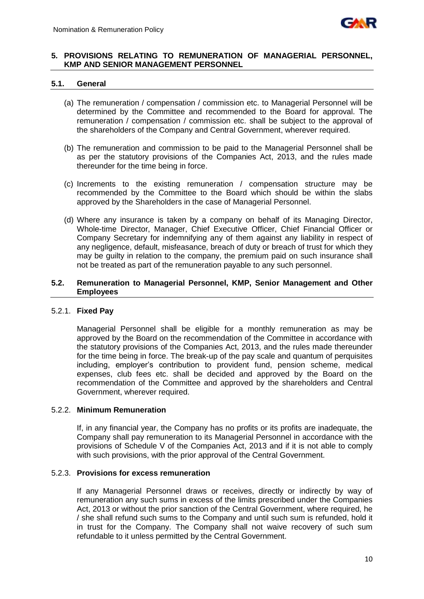

#### **5. PROVISIONS RELATING TO REMUNERATION OF MANAGERIAL PERSONNEL, KMP AND SENIOR MANAGEMENT PERSONNEL**

#### **5.1. General**

- (a) The remuneration / compensation / commission etc. to Managerial Personnel will be determined by the Committee and recommended to the Board for approval. The remuneration / compensation / commission etc. shall be subject to the approval of the shareholders of the Company and Central Government, wherever required.
- (b) The remuneration and commission to be paid to the Managerial Personnel shall be as per the statutory provisions of the Companies Act, 2013, and the rules made thereunder for the time being in force.
- (c) Increments to the existing remuneration / compensation structure may be recommended by the Committee to the Board which should be within the slabs approved by the Shareholders in the case of Managerial Personnel.
- (d) Where any insurance is taken by a company on behalf of its Managing Director, Whole-time Director, Manager, Chief Executive Officer, Chief Financial Officer or Company Secretary for indemnifying any of them against any liability in respect of any negligence, default, misfeasance, breach of duty or breach of trust for which they may be guilty in relation to the company, the premium paid on such insurance shall not be treated as part of the remuneration payable to any such personnel.

#### **5.2. Remuneration to Managerial Personnel, KMP, Senior Management and Other Employees**

# 5.2.1. **Fixed Pay**

Managerial Personnel shall be eligible for a monthly remuneration as may be approved by the Board on the recommendation of the Committee in accordance with the statutory provisions of the Companies Act, 2013, and the rules made thereunder for the time being in force. The break-up of the pay scale and quantum of perquisites including, employer's contribution to provident fund, pension scheme, medical expenses, club fees etc. shall be decided and approved by the Board on the recommendation of the Committee and approved by the shareholders and Central Government, wherever required.

#### 5.2.2. **Minimum Remuneration**

If, in any financial year, the Company has no profits or its profits are inadequate, the Company shall pay remuneration to its Managerial Personnel in accordance with the provisions of Schedule V of the Companies Act, 2013 and if it is not able to comply with such provisions, with the prior approval of the Central Government.

#### 5.2.3. **Provisions for excess remuneration**

If any Managerial Personnel draws or receives, directly or indirectly by way of remuneration any such sums in excess of the limits prescribed under the Companies Act, 2013 or without the prior sanction of the Central Government, where required, he / she shall refund such sums to the Company and until such sum is refunded, hold it in trust for the Company. The Company shall not waive recovery of such sum refundable to it unless permitted by the Central Government.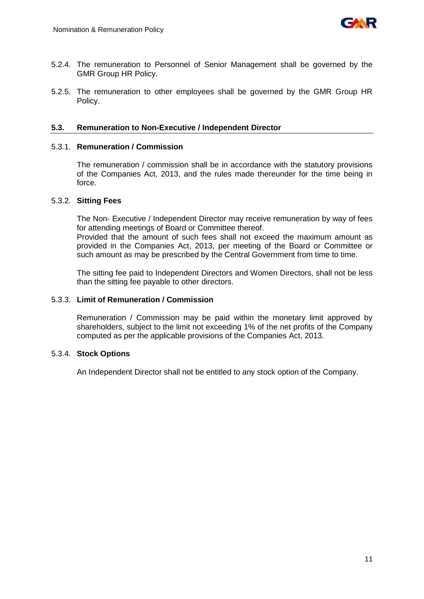

- 5.2.4. The remuneration to Personnel of Senior Management shall be governed by the GMR Group HR Policy.
- 5.2.5. The remuneration to other employees shall be governed by the GMR Group HR Policy.

#### **5.3. Remuneration to Non-Executive / Independent Director**

#### 5.3.1. **Remuneration / Commission**

The remuneration / commission shall be in accordance with the statutory provisions of the Companies Act, 2013, and the rules made thereunder for the time being in force.

#### 5.3.2. **Sitting Fees**

The Non- Executive / Independent Director may receive remuneration by way of fees for attending meetings of Board or Committee thereof.

Provided that the amount of such fees shall not exceed the maximum amount as provided in the Companies Act, 2013, per meeting of the Board or Committee or such amount as may be prescribed by the Central Government from time to time.

The sitting fee paid to Independent Directors and Women Directors, shall not be less than the sitting fee payable to other directors.

## 5.3.3. **Limit of Remuneration / Commission**

Remuneration / Commission may be paid within the monetary limit approved by shareholders, subject to the limit not exceeding 1% of the net profits of the Company computed as per the applicable provisions of the Companies Act, 2013.

#### 5.3.4. **Stock Options**

An Independent Director shall not be entitled to any stock option of the Company.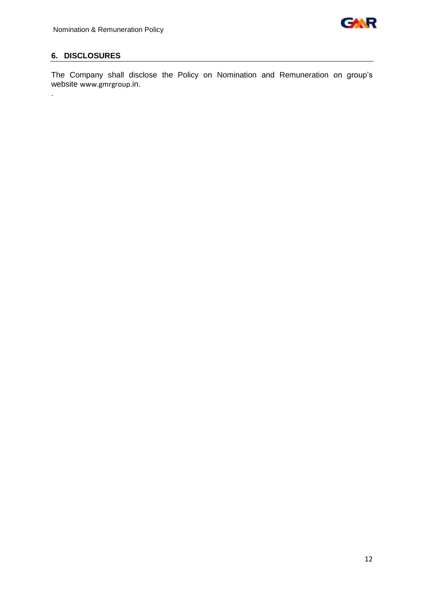

# **6. DISCLOSURES**

.

The Company shall disclose the Policy on Nomination and Remuneration on group's website [www.gmrgroup.](http://www.gmrgroup./)in.